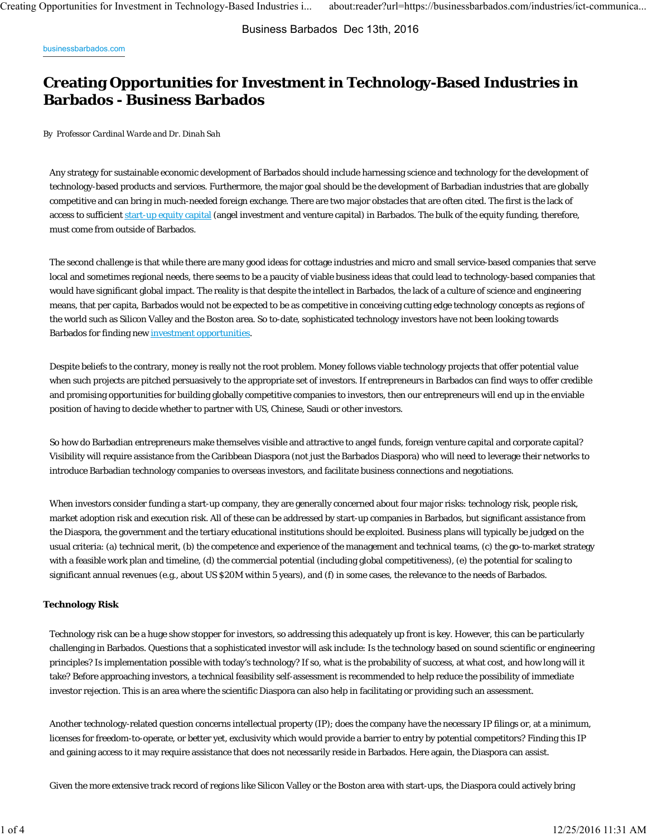Business Barbados Dec 13th, 2016

businessbarbados.com

# **Creating Opportunities for Investment in Technology-Based Industries in Barbados - Business Barbados**

*By Professor Cardinal Warde and Dr. Dinah Sah*

Any strategy for sustainable economic development of Barbados should include harnessing science and technology for the development of technology-based products and services. Furthermore, the major goal should be the development of Barbadian industries that are globally competitive and can bring in much-needed foreign exchange. There are two major obstacles that are often cited. The first is the lack of access to sufficient start-up equity capital (angel investment and venture capital) in Barbados. The bulk of the equity funding, therefore, must come from outside of Barbados.

The second challenge is that while there are many good ideas for cottage industries and micro and small service-based companies that serve local and sometimes regional needs, there seems to be a paucity of viable business ideas that could lead to technology-based companies that would have significant global impact. The reality is that despite the intellect in Barbados, the lack of a culture of science and engineering means, that per capita, Barbados would not be expected to be as competitive in conceiving cutting edge technology concepts as regions of the world such as Silicon Valley and the Boston area. So to-date, sophisticated technology investors have not been looking towards Barbados for finding new investment opportunities.

Despite beliefs to the contrary, money is really not the root problem. Money follows viable technology projects that offer potential value when such projects are pitched persuasively to the appropriate set of investors. If entrepreneurs in Barbados can find ways to offer credible and promising opportunities for building globally competitive companies to investors, then our entrepreneurs will end up in the enviable position of having to decide whether to partner with US, Chinese, Saudi or other investors.

So how do Barbadian entrepreneurs make themselves visible and attractive to angel funds, foreign venture capital and corporate capital? Visibility will require assistance from the Caribbean Diaspora (not just the Barbados Diaspora) who will need to leverage their networks to introduce Barbadian technology companies to overseas investors, and facilitate business connections and negotiations.

When investors consider funding a start-up company, they are generally concerned about four major risks: technology risk, people risk, market adoption risk and execution risk. All of these can be addressed by start-up companies in Barbados, but significant assistance from the Diaspora, the government and the tertiary educational institutions should be exploited. Business plans will typically be judged on the usual criteria: (a) technical merit, (b) the competence and experience of the management and technical teams, (c) the go-to-market strategy with a feasible work plan and timeline, (d) the commercial potential (including global competitiveness), (e) the potential for scaling to significant annual revenues (e.g., about US \$20M within 5 years), and (f) in some cases, the relevance to the needs of Barbados.

#### **Technology Risk**

Technology risk can be a huge show stopper for investors, so addressing this adequately up front is key. However, this can be particularly challenging in Barbados. Questions that a sophisticated investor will ask include: Is the technology based on sound scientific or engineering principles? Is implementation possible with today's technology? If so, what is the probability of success, at what cost, and how long will it take? Before approaching investors, a technical feasibility self-assessment is recommended to help reduce the possibility of immediate investor rejection. This is an area where the scientific Diaspora can also help in facilitating or providing such an assessment.

Another technology-related question concerns intellectual property (IP); does the company have the necessary IP filings or, at a minimum, licenses for freedom-to-operate, or better yet, exclusivity which would provide a barrier to entry by potential competitors? Finding this IP and gaining access to it may require assistance that does not necessarily reside in Barbados. Here again, the Diaspora can assist.

Given the more extensive track record of regions like Silicon Valley or the Boston area with start-ups, the Diaspora could actively bring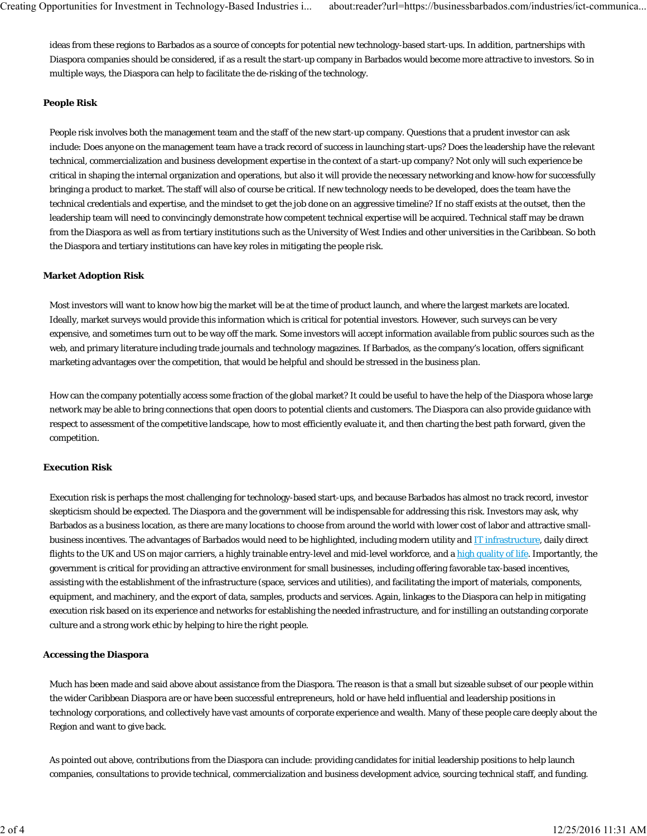ideas from these regions to Barbados as a source of concepts for potential new technology-based start-ups. In addition, partnerships with Diaspora companies should be considered, if as a result the start-up company in Barbados would become more attractive to investors. So in multiple ways, the Diaspora can help to facilitate the de-risking of the technology.

### **People Risk**

People risk involves both the management team and the staff of the new start-up company. Questions that a prudent investor can ask include: Does anyone on the management team have a track record of success in launching start-ups? Does the leadership have the relevant technical, commercialization and business development expertise in the context of a start-up company? Not only will such experience be critical in shaping the internal organization and operations, but also it will provide the necessary networking and know-how for successfully bringing a product to market. The staff will also of course be critical. If new technology needs to be developed, does the team have the technical credentials and expertise, and the mindset to get the job done on an aggressive timeline? If no staff exists at the outset, then the leadership team will need to convincingly demonstrate how competent technical expertise will be acquired. Technical staff may be drawn from the Diaspora as well as from tertiary institutions such as the University of West Indies and other universities in the Caribbean. So both the Diaspora and tertiary institutions can have key roles in mitigating the people risk.

#### **Market Adoption Risk**

Most investors will want to know how big the market will be at the time of product launch, and where the largest markets are located. Ideally, market surveys would provide this information which is critical for potential investors. However, such surveys can be very expensive, and sometimes turn out to be way off the mark. Some investors will accept information available from public sources such as the web, and primary literature including trade journals and technology magazines. If Barbados, as the company's location, offers significant marketing advantages over the competition, that would be helpful and should be stressed in the business plan.

How can the company potentially access some fraction of the global market? It could be useful to have the help of the Diaspora whose large network may be able to bring connections that open doors to potential clients and customers. The Diaspora can also provide guidance with respect to assessment of the competitive landscape, how to most efficiently evaluate it, and then charting the best path forward, given the competition.

#### **Execution Risk**

Execution risk is perhaps the most challenging for technology-based start-ups, and because Barbados has almost no track record, investor skepticism should be expected. The Diaspora and the government will be indispensable for addressing this risk. Investors may ask, why Barbados as a business location, as there are many locations to choose from around the world with lower cost of labor and attractive smallbusiness incentives. The advantages of Barbados would need to be highlighted, including modern utility and IT infrastructure, daily direct flights to the UK and US on major carriers, a highly trainable entry-level and mid-level workforce, and a high quality of life. Importantly, the government is critical for providing an attractive environment for small businesses, including offering favorable tax-based incentives, assisting with the establishment of the infrastructure (space, services and utilities), and facilitating the import of materials, components, equipment, and machinery, and the export of data, samples, products and services. Again, linkages to the Diaspora can help in mitigating execution risk based on its experience and networks for establishing the needed infrastructure, and for instilling an outstanding corporate culture and a strong work ethic by helping to hire the right people.

#### **Accessing the Diaspora**

Much has been made and said above about assistance from the Diaspora. The reason is that a small but sizeable subset of our people within the wider Caribbean Diaspora are or have been successful entrepreneurs, hold or have held influential and leadership positions in technology corporations, and collectively have vast amounts of corporate experience and wealth. Many of these people care deeply about the Region and want to give back.

As pointed out above, contributions from the Diaspora can include: providing candidates for initial leadership positions to help launch companies, consultations to provide technical, commercialization and business development advice, sourcing technical staff, and funding.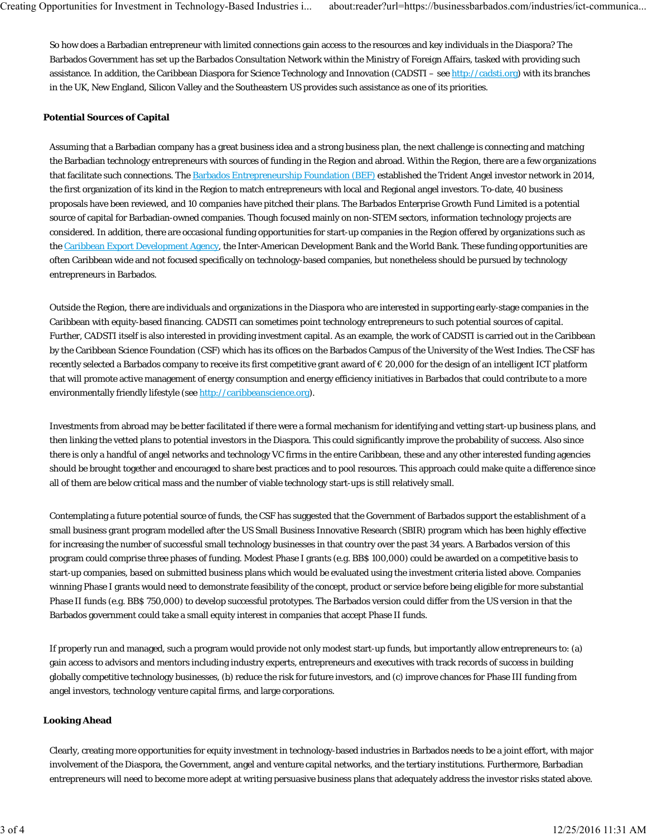So how does a Barbadian entrepreneur with limited connections gain access to the resources and key individuals in the Diaspora? The Barbados Government has set up the Barbados Consultation Network within the Ministry of Foreign Affairs, tasked with providing such assistance. In addition, the Caribbean Diaspora for Science Technology and Innovation (CADSTI – see http://cadsti.org) with its branches in the UK, New England, Silicon Valley and the Southeastern US provides such assistance as one of its priorities.

### **Potential Sources of Capital**

Assuming that a Barbadian company has a great business idea and a strong business plan, the next challenge is connecting and matching the Barbadian technology entrepreneurs with sources of funding in the Region and abroad. Within the Region, there are a few organizations that facilitate such connections. The Barbados Entrepreneurship Foundation (BEF) established the Trident Angel investor network in 2014, the first organization of its kind in the Region to match entrepreneurs with local and Regional angel investors. To-date, 40 business proposals have been reviewed, and 10 companies have pitched their plans. The Barbados Enterprise Growth Fund Limited is a potential source of capital for Barbadian-owned companies. Though focused mainly on non-STEM sectors, information technology projects are considered. In addition, there are occasional funding opportunities for start-up companies in the Region offered by organizations such as the Caribbean Export Development Agency, the Inter-American Development Bank and the World Bank. These funding opportunities are often Caribbean wide and not focused specifically on technology-based companies, but nonetheless should be pursued by technology entrepreneurs in Barbados.

Outside the Region, there are individuals and organizations in the Diaspora who are interested in supporting early-stage companies in the Caribbean with equity-based financing. CADSTI can sometimes point technology entrepreneurs to such potential sources of capital. Further, CADSTI itself is also interested in providing investment capital. As an example, the work of CADSTI is carried out in the Caribbean by the Caribbean Science Foundation (CSF) which has its offices on the Barbados Campus of the University of the West Indies. The CSF has recently selected a Barbados company to receive its first competitive grant award of € 20,000 for the design of an intelligent ICT platform that will promote active management of energy consumption and energy efficiency initiatives in Barbados that could contribute to a more environmentally friendly lifestyle (see http://caribbeanscience.org).

Investments from abroad may be better facilitated if there were a formal mechanism for identifying and vetting start-up business plans, and then linking the vetted plans to potential investors in the Diaspora. This could significantly improve the probability of success. Also since there is only a handful of angel networks and technology VC firms in the entire Caribbean, these and any other interested funding agencies should be brought together and encouraged to share best practices and to pool resources. This approach could make quite a difference since all of them are below critical mass and the number of viable technology start-ups is still relatively small.

Contemplating a future potential source of funds, the CSF has suggested that the Government of Barbados support the establishment of a small business grant program modelled after the US Small Business Innovative Research (SBIR) program which has been highly effective for increasing the number of successful small technology businesses in that country over the past 34 years. A Barbados version of this program could comprise three phases of funding. Modest Phase I grants (e.g. BB\$ 100,000) could be awarded on a competitive basis to start-up companies, based on submitted business plans which would be evaluated using the investment criteria listed above. Companies winning Phase I grants would need to demonstrate feasibility of the concept, product or service before being eligible for more substantial Phase II funds (e.g. BB\$ 750,000) to develop successful prototypes. The Barbados version could differ from the US version in that the Barbados government could take a small equity interest in companies that accept Phase II funds.

If properly run and managed, such a program would provide not only modest start-up funds, but importantly allow entrepreneurs to: (a) gain access to advisors and mentors including industry experts, entrepreneurs and executives with track records of success in building globally competitive technology businesses, (b) reduce the risk for future investors, and (c) improve chances for Phase III funding from angel investors, technology venture capital firms, and large corporations.

#### **Looking Ahead**

Clearly, creating more opportunities for equity investment in technology-based industries in Barbados needs to be a joint effort, with major involvement of the Diaspora, the Government, angel and venture capital networks, and the tertiary institutions. Furthermore, Barbadian entrepreneurs will need to become more adept at writing persuasive business plans that adequately address the investor risks stated above.